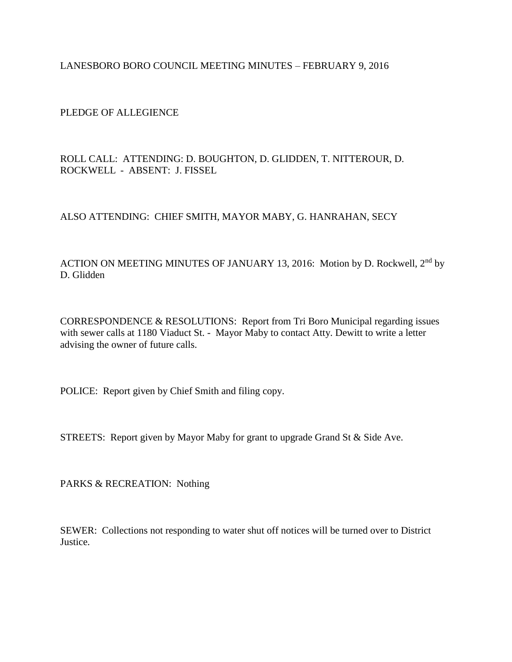LANESBORO BORO COUNCIL MEETING MINUTES – FEBRUARY 9, 2016

PLEDGE OF ALLEGIENCE

ROLL CALL: ATTENDING: D. BOUGHTON, D. GLIDDEN, T. NITTEROUR, D. ROCKWELL - ABSENT: J. FISSEL

## ALSO ATTENDING: CHIEF SMITH, MAYOR MABY, G. HANRAHAN, SECY

ACTION ON MEETING MINUTES OF JANUARY 13, 2016: Motion by D. Rockwell, 2<sup>nd</sup> by D. Glidden

CORRESPONDENCE & RESOLUTIONS: Report from Tri Boro Municipal regarding issues with sewer calls at 1180 Viaduct St. - Mayor Maby to contact Atty. Dewitt to write a letter advising the owner of future calls.

POLICE: Report given by Chief Smith and filing copy.

STREETS: Report given by Mayor Maby for grant to upgrade Grand St & Side Ave.

PARKS & RECREATION: Nothing

SEWER: Collections not responding to water shut off notices will be turned over to District Justice.